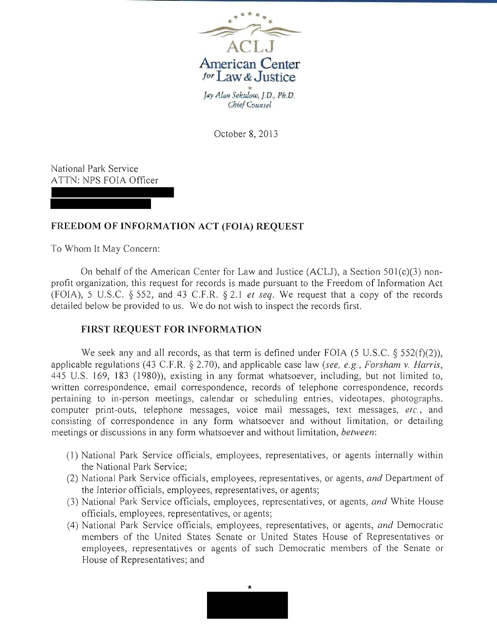

October 8, 2013

National Park Service ATTN: NPS FOIA Officer

## **FREEDOM OF INFORMATION ACT (FOIA) REQUEST**

To Whom It May Concern:

On behalf of the American Center for Law and Justice (ACLJ), a Section  $501(c)(3)$  nonprofit organization, this request for records is made pursuant to the Freedom of Information Act (FOIA), 5 U.S.C. § 552, and 43 C.F.R. § 2.1 *et seq.* We request that a copy of the records detailed below be provided to us. We do not wish to inspect the records first.

## **FIRST REQUEST FOR INFORMATION**

We seek any and all records, as that term is defined under FOIA (5 U.S.C.  $\S$  552(f)(2)), applicable regulations (43 C.F.R. § 2.70), and applicable case law *(see, e.g., Forsham* v. *Harris,*  445 U.S. 169, 183 (1980)), existing in any format whatsoever, including, but not limited to, written correspondence, email correspondence, records of telephone correspondence, records pertaining to in-person meetings, calendar or scheduling entries, videotapes, photographs. computer print-outs, telephone messages, voice mail messages, text messages, *etc.,* and consisting of correspondence in any form whatsoever and without limitation, or detailing meetings or discussions in any form whatsoever and without limitation, *between:* 

- (I) National Park Service officials, employees, representatives, or agents internally within the National Park Service;
- (2) National Park Service officials, employees, representatives, or agents, *and* Department of the Interior officials, employees, representatives, or agents;
- (3) National Park Service officials, employees, representatives, or agents, and White House officials, employees, representatives, or agents;
- (4) National Park Service officials, employees, representatives, or agents, *and* Democratic members of the United States Senate or United States House of Representatives or employees, representatives or agents of such Democratic members of the Senate or House of Representatives; and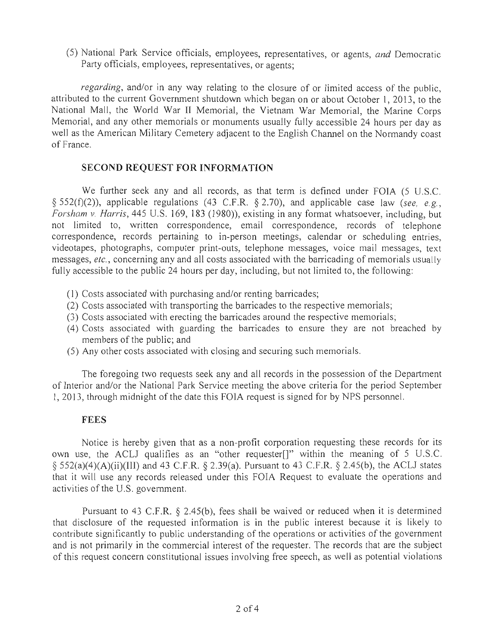(5) National Park Service officials, employees, representatives, or agents, *and* Democratic Party officials, employees, representatives, or agents;

*regarding,* and/or in any way relating to the closure of or limited access of the public, attributed to the current Government shutdown which began on or about October 1,2013, to the National Mall, the World War II Memorial, the Vietnam War Memorial, the Marine Corps Memorial, and any other memorials or monuments usually fully accessible 24 hours per day as well as the American Military Cemetery adjacent to the English Channel on the Normandy coast of France.

## **SECOND REQUEST FOR INFORMATION**

We further seek any and all records, as that term is defined under FOIA (5 U.S.C. § 552(f)(2)), applicable regulations (43 C.F.R. § 2.70), and applicable case law *(see, e.g., Forsham* v. *Harris,* 445 U.S. 169, 183 (1980», existing **in** any format whatsoever, including, but not limited to, written correspondence, email correspondence, records of telephone correspondence, records pertaining to in-person meetings, calendar or scheduling entries, videotapes, photographs, computer print-outs, telephone messages, voice mail messages, text messages, *etc.,* concerning any and all costs associated with the barricading of memorials usually fully accessible to the public 24 hours per day, including, but not limited to, the following:

- (1) Costs associated with purchasing and/or renting barricades;
- (2) Costs associated with transporting the barricades to the respective memorials;
- (3) Costs associated with erecting the barricades around the respective memorials;
- (4) Costs associated with guarding the barricades to ensure they are not breached by members of the public; and
- (5) Any other costs associated with closing and securing such memorials.

The foregoing two requests seek any and all records in the possession of the Department of Interior and/or the National Park Service meeting the above criteria for the period September 1, 2013, through midnight of the date this FOIA request is signed for by NPS personnel.

## **FEES**

Notice is hereby given that as a non-profit corporation requesting these records for its own use, the ACLJ qualifies as an "other requester[]" within the meaning of 5 U.S.C.  $\S$  552(a)(4)(A)(ii)(III) and 43 C.F.R.  $\S$  2.39(a). Pursuant to 43 C.F.R.  $\S$  2.45(b), the ACLJ states that it will use any records released under this FOIA Request to evaluate the operations and activities of the U.S. government.

Pursuant to 43 C.F.R. § 2.45(b), fees shall be waived or reduced when it is determined that disclosure of the requested information is in the public interest because it is likely to contribute significantly to public understanding of the operations or activities of the government and is not primarily in the commercial interest of the requester. The records that are the subject of this request concern constitutional issues involving free speech, as well as potential violations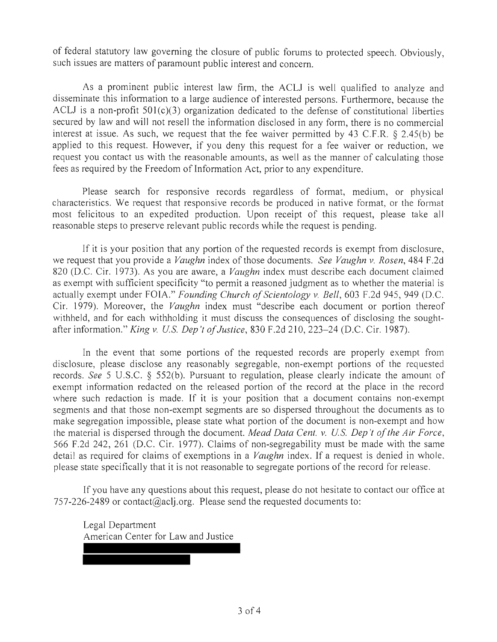of federal statutory law governing the closure of public forums to protected speech. Obviously, such issues are matters of paramount public interest and concern.

As a prominent public interest law firm, the ACLJ is well qualified to analyze and disseminate this information to a large audience of interested persons. Furthermore, because the ACLJ is a non-profit  $501(c)(3)$  organization dedicated to the defense of constitutional liberties secured by law and will not resell the information disclosed in any form, there is no commercial interest at issue. As such, we request that the fee waiver permitted by 43 C.F.R.  $\S$  2.45(b) be applied to this request. However, if you deny this request for a fee waiver or reduction, we request you contact us with the reasonable amounts, as well as the manner of calculating those fees as required by the Freedom of Information Act, prior to any expenditure.

Please search for responsive records regardless of format, medium, or physical characteristics. We request that responsive records be produced in native format, or the format most felicitous to an expedited production. Upon receipt of this request, please take all reasonable steps to preserve relevant public records while the request is pending.

If it is your position that any portion of the requested records is exempt from disclosure, we request that you provide a *Vaughn* index of those documents. *See Vaughn v. Rosen,* 484 F.2d 820 (D.C. Cir. 1973). As you are aware, a *Vaughn* index must describe each document claimed as exempt with sufficient specificity "to permit a reasoned judgment as to whether the material is actually exempt under FOIA." *Founding Church of Scientology v. Bell*, 603 F.2d 945, 949 (D.C. Cir. 1979). Moreover, the *Vaughn* index must "describe each document or portion thereof withheld, and for each withholding it must discuss the consequences of disclosing the soughtafter information." *King v. Us. Dep 't ofJustice,* 830 F.2d 210,223-24 (D.C. Cir. 1987).

In the event that some portions of the requested records are properly exempt from disclosure, please disclose any reasonably segregable, non-exempt portions of the requested records. *See* 5 U.S.C. § 552(b). Pursuant to regulation, please clearly indicate the amount of exempt information redacted on the released portion of the record at the place in the record where such redaction is made. If it is your position that a document contains non-exempt segments and that those non-exempt segments are so dispersed throughout the documents as to make segregation impossible, please state what portion of the document is non-exempt and how the material is dispersed through the document. *Mead Data Cent. v. Us. Dep't ofthe Air Force,*  566 F.2d 242, 261 (D.C. Cir. 1977). Claims of non-segregability must be made with the same detail as required for claims of exemptions in a *Vaughn* index. If a request is denied in whole. please state specifically that it is not reasonable to segregate portions of the record for release.

If you have any questions about this request, please do not hesitate to contact our office at 757-226-2489 or contact@aclj.org. Please send the requested documents to:

Legal Department American Center for Law and Justice